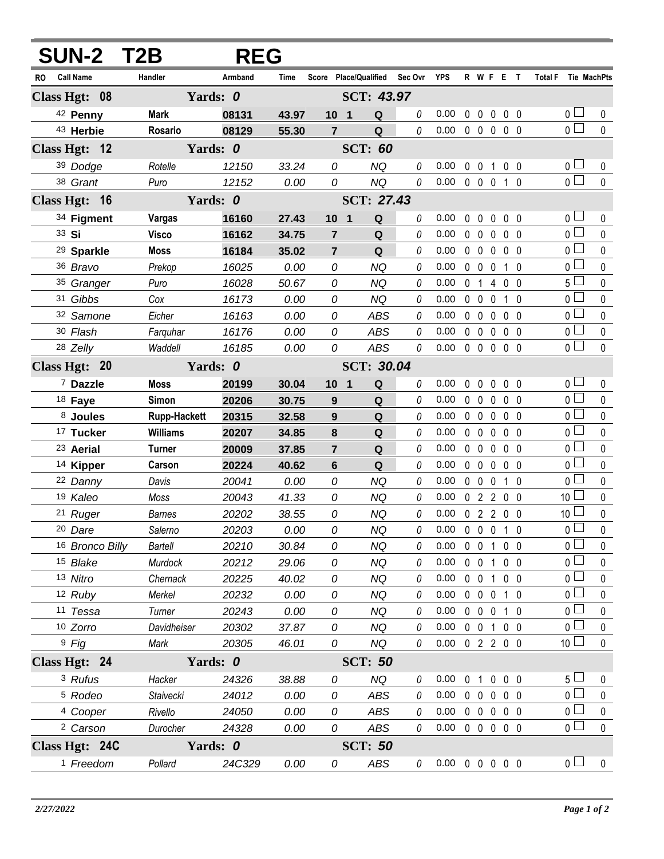| <b>SUN-2 T2B</b>        |                     | <b>REG</b>                    |       |                                   |                   |   |                            |              |                   |                |                   |                     |              |
|-------------------------|---------------------|-------------------------------|-------|-----------------------------------|-------------------|---|----------------------------|--------------|-------------------|----------------|-------------------|---------------------|--------------|
| <b>Call Name</b><br>RO. | Handler             | Armband                       | Time  | Score Place/Qualified Sec Ovr YPS |                   |   |                            |              |                   |                | R W F E T         | Total F Tie MachPts |              |
| Class Hgt: 08           | Yards: 0            |                               |       | SCT: 43.97                        |                   |   |                            |              |                   |                |                   |                     |              |
| 42 Penny                | <b>Mark</b>         | 08131                         | 43.97 | 10 <sub>1</sub>                   | Q                 | 0 | 0.00                       |              |                   |                | 00000             | 0 <sub>1</sub>      | 0            |
| 43 Herbie               | Rosario             | 08129                         | 55.30 | $\overline{7}$                    | Q                 | 0 | 0.00                       |              |                   |                | 0 0 0 0 0         | $\overline{0}$      | $\mathbf 0$  |
| Class Hgt: 12           | Yards: 0            |                               |       |                                   | <b>SCT: 60</b>    |   |                            |              |                   |                |                   |                     |              |
| 39 Dodge                | Rotelle             | 12150                         | 33.24 | 0                                 | <b>NQ</b>         | 0 | 0.00                       |              |                   |                | 0 0 1 0 0         | 0 <sub>1</sub>      | 0            |
| 38 Grant                | Puro                | 12152                         | 0.00  | 0                                 | <b>NQ</b>         | 0 | 0.00                       |              |                   |                | 0 0 0 1 0         | $\overline{0}$      | $\mathbf 0$  |
| Class Hgt: 16           | Yards: 0            |                               |       |                                   | <b>SCT: 27.43</b> |   |                            |              |                   |                |                   |                     |              |
| 34 Figment              | Vargas              | 16160                         | 27.43 | 10 <sub>1</sub>                   | Q                 | 0 | 0.00                       |              | $0\quad 0$        |                | $0\quad 0\quad 0$ | 0 <sub>1</sub>      | 0            |
| 33 Si                   | <b>Visco</b>        | 16162                         | 34.75 | $\overline{7}$                    | Q                 | 0 | 0.00                       |              | $0\quad 0$        | $\mathbf 0$    | 0 <sub>0</sub>    | $\overline{0}$      | $\mathbf 0$  |
| <sup>29</sup> Sparkle   | <b>Moss</b>         | 16184                         | 35.02 | $\overline{7}$                    | Q                 | 0 | 0.00                       |              | $0\quad 0$        | 0              | $0\quad 0$        | 0 <sub>1</sub>      | $\pmb{0}$    |
| 36 Bravo                | Prekop              | 16025                         | 0.00  | 0                                 | <b>NQ</b>         | 0 | 0.00                       |              | $0\quad 0$        | 0              | $1\quad0$         | 0 <sup>1</sup>      | $\pmb{0}$    |
| 35 Granger              | Puro                | 16028                         | 50.67 | 0                                 | NQ                | 0 | 0.00                       | $\mathbf{0}$ | $\overline{1}$    |                | 4 0 0             | 5 <sup>1</sup>      | $\pmb{0}$    |
| 31 Gibbs                | Cox                 | 16173                         | 0.00  | 0                                 | <b>NQ</b>         | 0 | 0.00                       | $\mathbf 0$  | $\overline{0}$    | 0              | $1\quad0$         | 0 <sup>1</sup>      | $\mathbf 0$  |
| 32 Samone               | Eicher              | 16163                         | 0.00  | 0                                 | <b>ABS</b>        | 0 | 0.00                       | $\mathbf{0}$ | $\mathbf 0$       | 0              | 0 <sub>0</sub>    | 0 l                 | $\pmb{0}$    |
| 30 Flash                | Farguhar            | 16176                         | 0.00  | 0                                 | <b>ABS</b>        | 0 | 0.00                       |              | $0\quad 0$        | $\mathbf 0$    | 0 <sub>0</sub>    | $\overline{0}$      | $\pmb{0}$    |
| 28 Zelly                | Waddell             | 16185                         | 0.00  | 0                                 | <b>ABS</b>        | 0 | 0.00                       |              |                   |                | 00000             | $\overline{0}$      | $\mathbf 0$  |
| Class Hgt: 20           |                     | <b>SCT: 30.04</b><br>Yards: 0 |       |                                   |                   |   |                            |              |                   |                |                   |                     |              |
| <sup>7</sup> Dazzle     | <b>Moss</b>         | 20199                         | 30.04 | $10 \quad 1$                      | Q                 | 0 | 0.00                       | $\mathbf 0$  | $\overline{0}$    | $\mathbf 0$    | 0 <sub>0</sub>    | 0 <sup>1</sup>      | $\pmb{0}$    |
| 18 Faye                 | Simon               | 20206                         | 30.75 | 9                                 | Q                 | 0 | 0.00                       |              | 0 <sub>0</sub>    | $\mathbf{0}$   | 0 <sub>0</sub>    | $\overline{0}$      | $\pmb{0}$    |
| 8 Joules                | <b>Rupp-Hackett</b> | 20315                         | 32.58 | 9                                 | Q                 | 0 | 0.00                       |              | $0\quad 0$        | $\mathbf 0$    | 0 <sub>0</sub>    | $\overline{0}$      | $\pmb{0}$    |
| 17 Tucker               | <b>Williams</b>     | 20207                         | 34.85 | 8                                 | Q                 | 0 | 0.00                       |              | $0\quad 0$        | 0              | 0 <sub>0</sub>    | 0 <sup>1</sup>      | $\pmb{0}$    |
| <sup>23</sup> Aerial    | <b>Turner</b>       | 20009                         | 37.85 | $\overline{7}$                    | Q                 | 0 | 0.00                       |              | $0\quad 0$        | 0              | $0\quad 0$        | 0                   | $\pmb{0}$    |
| 14 Kipper               | Carson              | 20224                         | 40.62 | 6                                 | Q                 | 0 | 0.00                       |              | $0\quad 0$        | $\mathbf{0}$   | 0 <sub>0</sub>    | 0 <sub>0</sub>      | $\pmb{0}$    |
| 22 Danny                | Davis               | 20041                         | 0.00  | 0                                 | <b>NQ</b>         | 0 | 0.00                       |              | $0\quad 0$        | $\mathbf 0$    | $1\quad0$         | 0 <sup>1</sup>      | $\pmb{0}$    |
| 19 Kaleo                | Moss                | 20043                         | 41.33 | 0                                 | <b>NQ</b>         | 0 | 0.00                       |              |                   |                | 0 2 2 0 0         | 10 <sup>°</sup>     | $\pmb{0}$    |
| 21 Ruger                | <b>Barnes</b>       | 20202                         | 38.55 | 0                                 | <b>NQ</b>         | 0 | 0.00                       |              |                   |                | 0 2 2 0 0         | 10                  | $\pmb{0}$    |
| 20 Dare                 | Salerno             | 20203                         | 0.00  | 0                                 | NQ                |   | 0.00                       |              |                   |                | 00010             | $\overline{0}$      | $\pmb{0}$    |
| 16 Bronco Billy         | Bartell             | 20210                         | 30.84 | 0                                 | <b>NQ</b>         | 0 | 0.00                       |              | $0\quad 0$        | $\overline{1}$ | 0 <sub>0</sub>    | $\overline{0}$      | $\mathbf{0}$ |
| 15 Blake                | Murdock             | 20212                         | 29.06 | 0                                 | NQ                | 0 | 0.00                       |              | $0\quad 0$        | 1              | $0\quad 0$        | 0 <sub>1</sub>      | 0            |
| 13 Nitro                | Chernack            | 20225                         | 40.02 | 0                                 | <b>NQ</b>         | 0 | 0.00                       |              |                   |                | 0 0 1 0 0         | 0 <sub>0</sub>      | $\mathbf{0}$ |
| 12 Ruby                 | Merkel              | 20232                         | 0.00  | 0                                 | NQ                | 0 | 0.00                       |              | $0\quad 0\quad 0$ |                | 10                | 0 <sub>0</sub>      | 0            |
| 11 Tessa                | Turner              | 20243                         | 0.00  | 0                                 | NQ                | 0 | 0.00                       |              |                   |                | 0 0 0 1 0         | 0 <sub>0</sub>      | $\mathbf{0}$ |
| 10 Zorro                | Davidheiser         | 20302                         | 37.87 | 0                                 | NQ                | 0 | 0.00                       |              |                   |                | 0 0 1 0 0         | 0 <sub>1</sub>      | 0            |
| <sup>9</sup> Fig        | Mark                | 20305                         | 46.01 | 0                                 | NQ                | 0 | 0.00                       |              |                   |                | 02200             | 10 <sup>1</sup>     | $\pmb{0}$    |
| Class Hgt: 24           | Yards: 0            |                               |       |                                   | <b>SCT: 50</b>    |   |                            |              |                   |                |                   |                     |              |
| <sup>3</sup> Rufus      | Hacker              | 24326                         | 38.88 | 0                                 | <b>NQ</b>         | 0 | 0.00                       |              | 0 <sub>1</sub>    |                | $0\quad 0\quad 0$ | $5 -$               | 0            |
| <sup>5</sup> Rodeo      | Staivecki           | 24012                         | 0.00  | 0                                 | <b>ABS</b>        | 0 | 0.00                       |              |                   |                | 0 0 0 0 0         | 0 <sub>1</sub>      | $\mathbf{0}$ |
| 4 Cooper                | Rivello             | 24050                         | 0.00  | 0                                 | <b>ABS</b>        | 0 | 0.00                       |              |                   |                | 00000             | 0 <sub>0</sub>      | 0            |
| <sup>2</sup> Carson     | Durocher            | 24328                         | 0.00  | 0                                 | ABS               | 0 | 0.00                       |              |                   |                | 00000             | 0 <sub>0</sub>      | 0            |
| Class Hgt: 24C          |                     | Yards: 0                      |       |                                   | <b>SCT: 50</b>    |   |                            |              |                   |                |                   |                     |              |
| <sup>1</sup> Freedom    | Pollard             | 24C329                        | 0.00  | 0                                 | ABS               | 0 | $0.00 \t0 \t0 \t0 \t0 \t0$ |              |                   |                |                   | 0 <sub>1</sub>      | 0            |